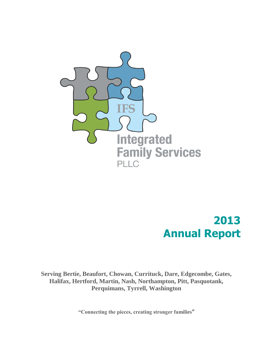

# **2013 Annual Report**

**Serving Bertie, Beaufort, Chowan, Currituck, Dare, Edgecombe, Gates, Halifax, Hertford, Martin, Nash, Northampton, Pitt, Pasquotank, Perquimans, Tyrrell, Washington**

**"Connecting the pieces, creating stronger families"**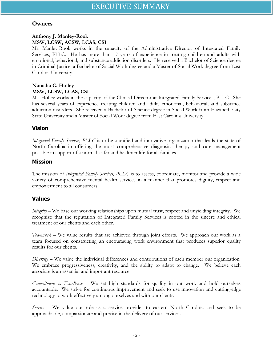### **Owners**

#### **Anthony J. Manley-Rook MSW, LCSW, ACSW, LCAS, CSI**

Mr. Manley-Rook works in the capacity of the Administrative Director of Integrated Family Services, PLLC. He has more than 17 years of experience in treating children and adults with emotional, behavioral, and substance addiction disorders. He received a Bachelor of Science degree in Criminal Justice, a Bachelor of Social Work degree and a Master of Social Work degree from East Carolina University.

#### **Natasha C. Holley MSW, LCSW, LCAS, CSI**

Ms. Holley works in the capacity of the Clinical Director at Integrated Family Services, PLLC. She has several years of experience treating children and adults emotional, behavioral, and substance addiction disorders. She received a Bachelor of Science degree in Social Work from Elizabeth City State University and a Master of Social Work degree from East Carolina University.

# **Vision**

*Integrated Family Services, PLLC* is to be a unified and innovative organization that leads the state of North Carolina in offering the most comprehensive diagnosis, therapy and care management possible in support of a normal, safer and healthier life for all families.

#### **Mission**

The mission of *Integrated Family Services, PLLC* is to assess, coordinate, monitor and provide a wide variety of comprehensive mental health services in a manner that promotes dignity, respect and empowerment to all consumers.

### **Values**

*Integrity* – We base our working relationships upon mutual trust, respect and unyielding integrity. We recognize that the reputation of Integrated Family Services is rooted in the sincere and ethical treatment of our clients and each other.

*Teamwork* – We value results that are achieved through joint efforts. We approach our work as a team focused on constructing an encouraging work environment that produces superior quality results for our clients.

*Diversity* – We value the individual differences and contributions of each member our organization. We embrace progressiveness, creativity, and the ability to adapt to change. We believe each associate is an essential and important resource.

*Commitment to Excellence* – We set high standards for quality in our work and hold ourselves accountable. We strive for continuous improvement and seek to use innovation and cutting-edge technology to work effectively among ourselves and with our clients.

*Service* – We value our role as a service provider to eastern North Carolina and seek to be approachable, compassionate and precise in the delivery of our services.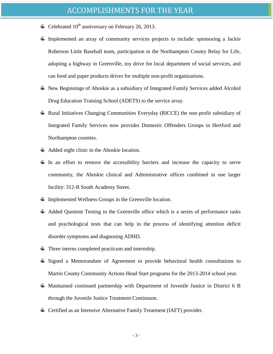- $\leftarrow$  Celebrated 10<sup>th</sup> anniversary on February 26, 2013.
- Implemented an array of community services projects to include: sponsoring a Jackie Roberson Little Baseball team, participation in the Northampton County Relay for Life, adopting a highway in Greenville, toy drive for local department of social services, and can food and paper products drives for multiple non-profit organizations.
- New Beginnings of Ahoskie as a subsidiary of Integrated Family Services added Alcohol Drug Education Training School (ADETS) to the service array.
- $\overline{\phantom{a} \overline{\phantom{a}}}$  Rural Initiatives Changing Communities Everyday (RICCE) the non-profit subsidiary of Integrated Family Services now provides Domestic Offenders Groups in Hertford and Northampton counties.
- $\overline{\phantom{a}}$  Added night clinic in the Ahoskie location.
- In an effort to remove the accessibility barriers and increase the capacity to serve community, the Ahoskie clinical and Administrative offices combined in one larger facility: 312-B South Academy Street.
- $\downarrow$  Implemented Wellness Groups in the Greenville location.
- $\overline{\phantom{a}}$  Added Quotient Testing in the Greenville office which is a series of performance tasks and psychological tests that can help in the process of identifying attention deficit disorder symptoms and diagnosing ADHD.
- $\overline{\phantom{a}}$  Three interns completed practicum and internship.
- Signed a Memorandum of Agreement to provide behavioral health consultations to Martin County Community Actions Head Start programs for the 2013-2014 school year.
- Maintained continued partnership with Department of Juvenile Justice in District 6 B through the Juvenile Justice Treatment Continuum.
- ↓ Certified as an Intensive Alternative Family Treatment (IAFT) provider.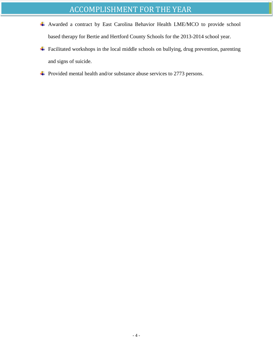# ACCOMPLISHMENT FOR THE YEAR

- Awarded a contract by East Carolina Behavior Health LME/MCO to provide school based therapy for Bertie and Hertford County Schools for the 2013-2014 school year.
- $\overline{\phantom{a} \bullet}$  Facilitated workshops in the local middle schools on bullying, drug prevention, parenting and signs of suicide.
- $\overline{\phantom{a} \bullet}$  Provided mental health and/or substance abuse services to 2773 persons.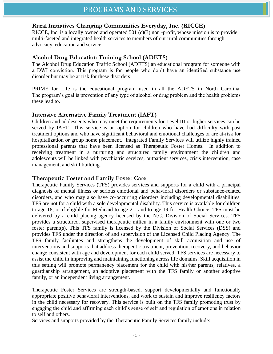## **Rural Initiatives Changing Communities Everyday, Inc. (RICCE)**

RICCE, Inc. is a locally owned and operated 501 (c)(3) non -profit, whose mission is to provide multi-faceted and integrated health services to members of our rural communities through advocacy, education and service

# **Alcohol Drug Education Training School (ADETS)**

The Alcohol Drug Education Traffic School (ADETS) an educational program for someone with a DWI conviction. This program is for people who don't have an identified substance use disorder but may be at risk for these disorders.

PRIME for Life is the educational program used in all the ADETS in North Carolina. The program's goal is prevention of any type of alcohol or drug problem and the health problems these lead to.

# **Intensive Alternative Family Treatment (IAFT)**

Children and adolescents who may meet the requirements for Level III or higher services can be served by IAFT. This service is an option for children who have had difficulty with past treatment options and who have significant behavioral and emotional challenges or are at-risk for hospitalization or group home placement. Integrated Family Services will utilize highly trained professional parents that have been licensed as Therapeutic Foster Homes. In addition to receiving treatment in a nurturing and structured family environment the children and adolescents will be linked with psychiatric services, outpatient services, crisis intervention, case management, and skill building.

#### **Therapeutic Foster and Family Foster Care**

Therapeutic Family Services (TFS) provides services and supports for a child with a principal diagnosis of mental illness or serious emotional and behavioral disorders or substance-related disorders, and who may also have co-occurring disorders including developmental disabilities. TFS are not for a child with a sole developmental disability. This service is available for children to age 18, or if eligible for Medicaid to age 21, and to age 19 for Health Choice. TFS must be delivered by a child placing agency licensed by the N.C. Division of Social Services. TFS provides a structured, supervised therapeutic milieu in a family environment with one or two foster parent(s). This TFS family is licensed by the Division of Social Services (DSS) and provides TFS under the direction of and supervision of the Licensed Child Placing Agency. The TFS family facilitates and strengthens the development of skill acquisition and use of interventions and supports that address therapeutic treatment, prevention, recovery, and behavior change consistent with age and development for each child served. TFS services are necessary to assist the child in improving and maintaining functioning across life domains. Skill acquisition in this setting will promote permanency placement for the child with his/her parents, relatives, a guardianship arrangement, an adoptive placement with the TFS family or another adoptive family, or an independent living arrangement.

Therapeutic Foster Services are strength-based, support developmentally and functionally appropriate positive behavioral interventions, and work to sustain and improve resiliency factors in the child necessary for recovery. This service is built on the TFS family promoting trust by engaging the child and affirming each child's sense of self and regulation of emotions in relation to self and others.

Services and supports provided by the Therapeutic Family Services family include: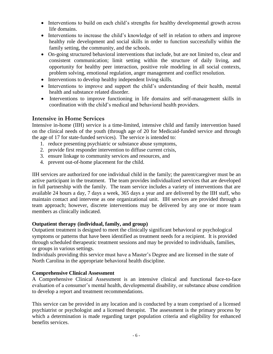- Interventions to build on each child's strengths for healthy developmental growth across life domains.
- Interventions to increase the child's knowledge of self in relation to others and improve healthy role development and social skills in order to function successfully within the family setting, the community, and the schools.
- On-going structured behavioral interventions that include, but are not limited to, clear and consistent communication; limit setting within the structure of daily living, and opportunity for healthy peer interaction, positive role modeling in all social contexts, problem solving, emotional regulation, anger management and conflict resolution.
- Interventions to develop healthy independent living skills.
- Interventions to improve and support the child's understanding of their health, mental health and substance related disorder.
- Interventions to improve functioning in life domains and self-management skills in coordination with the child's medical and behavioral health providers.

### **Intensive in Home Services**

Intensive in-home (IIH) service is a time-limited, intensive child and family intervention based on the clinical needs of the youth (through age of 20 for Medicaid-funded service and through the age of 17 for state-funded services). The service is intended to:

- 1. reduce presenting psychiatric or substance abuse symptoms,
- 2. provide first responder intervention to diffuse current crisis,
- 3. ensure linkage to community services and resources, and
- 4. prevent out-of-home placement for the child.

IIH services are authorized for one individual child in the family; the parent/caregiver must be an active participant in the treatment. The team provides individualized services that are developed in full partnership with the family. The team service includes a variety of interventions that are available 24 hours a day, 7 days a week, 365 days a year and are delivered by the IIH staff, who maintain contact and intervene as one organizational unit. IIH services are provided through a team approach; however, discrete interventions may be delivered by any one or more team members as clinically indicated.

#### **Outpatient therapy (individual, family, and group)**

Outpatient treatment is designed to meet the clinically significant behavioral or psychological symptoms or patterns that have been identified as treatment needs for a recipient. It is provided through scheduled therapeutic treatment sessions and may be provided to individuals, families, or groups in various settings.

Individuals providing this service must have a Master's Degree and are licensed in the state of North Carolina in the appropriate behavioral health discipline.

#### **Comprehensive Clinical Assessment**

A Comprehensive Clinical Assessment is an intensive clinical and functional face-to-face evaluation of a consumer's mental health, developmental disability, or substance abuse condition to develop a report and treatment recommendations.

This service can be provided in any location and is conducted by a team comprised of a licensed psychiatrist or psychologist and a licensed therapist. The assessment is the primary process by which a determination is made regarding target population criteria and eligibility for enhanced benefits services.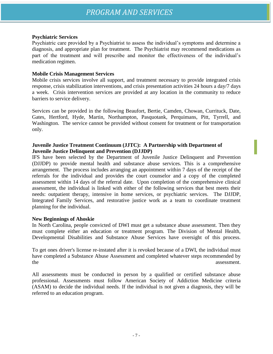#### **Psychiatric Services**

Psychiatric care provided by a Psychiatrist to assess the individual's symptoms and determine a diagnosis, and appropriate plan for treatment. The Psychiatrist may recommend medications as part of the treatment and will prescribe and monitor the effectiveness of the individual's medication regimen.

#### **Mobile Crisis Management Services**

Mobile crisis services involve all support, and treatment necessary to provide integrated crisis response, crisis stabilization interventions, and crisis presentation activities 24 hours a day/7 days a week. Crisis intervention services are provided at any location in the community to reduce barriers to service delivery.

Services can be provided in the following Beaufort, Bertie, Camden, Chowan, Currituck, Date, Gates, Hertford, Hyde, Martin, Northampton, Pasquotank, Perquimans, Pitt, Tyrrell, and Washington. The service cannot be provided without consent for treatment or for transportation only.

#### **Juvenile Justice Treatment Continuum (JJTC): A Partnership with Department of Juvenile Justice Delinquent and Prevention (DJJDP)**

IFS have been selected by the Department of Juvenile Justice Delinquent and Prevention (DJJDP) to provide mental health and substance abuse services. This is a comprehensive arrangement. The process includes arranging an appointment within 7 days of the receipt of the referrals for the individual and provides the court counselor and a copy of the completed assessment within 14 days of the referral date. Upon completion of the comprehensive clinical assessment, the individual is linked with either of the following services that best meets their needs: outpatient therapy, intensive in home services, or psychiatric services. The DJJDP, Integrated Family Services, and restorative justice work as a team to coordinate treatment planning for the individual.

#### **New Beginnings of Ahoskie**

In North Carolina, people convicted of DWI must get a substance abuse assessment. Then they must complete either an education or treatment program. The Division of Mental Health, Developmental Disabilities and Substance Abuse Services have oversight of this process.

To get ones driver's license re-instated after it is revoked because of a DWI, the individual must have completed a Substance Abuse Assessment and completed whatever steps recommended by the assessment.

All assessments must be conducted in person by a qualified or certified substance abuse professional. Assessments must follow American Society of Addiction Medicine criteria (ASAM) to decide the individual needs. If the individual is not given a diagnosis, they will be referred to an education program.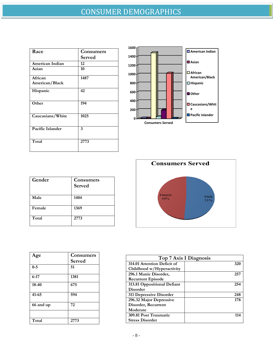| Race             | Consumers     |
|------------------|---------------|
|                  | <b>Served</b> |
| American Indian  | 12            |
| Asian            | 10            |
| African          | 1487          |
| American/Black   |               |
| Hispanic         | 42            |
| Other            | 194           |
|                  |               |
| Caucasians/White | 1025          |
| Pacific Islander | 3             |
|                  |               |
| Total            | 2773          |



| Gender | Consumers<br>Served |
|--------|---------------------|
| Male   | 1404                |
| Female | 1369                |
| Total  | 2773                |



| Age       | Consumers     |
|-----------|---------------|
|           | <b>Served</b> |
| $0 - 5$   | 51            |
|           |               |
| $6 - 17$  | 1381          |
| 18-40     | 675           |
|           |               |
| $41 - 65$ | 594           |
|           |               |
| 66 and up | 72            |
|           |               |
| Total     | 2773          |

| Top 7 Axis I Diagnosis      |     |
|-----------------------------|-----|
| 314.01 Attention Deficit of | 320 |
| Childhood w/Hyperactivity   |     |
| 296.1 Manic Disorder,       | 257 |
| <b>Recurrent Episode</b>    |     |
| 313.81 Oppositional Defiant | 254 |
| <b>Disorder</b>             |     |
| 311 Depressive Disorder     | 248 |
| 296.32 Major Depressive     | 178 |
| Disorder, Recurrent         |     |
| Moderate                    |     |
| 309.81 Post Traumatic       | 114 |
| <b>Stress Disorder</b>      |     |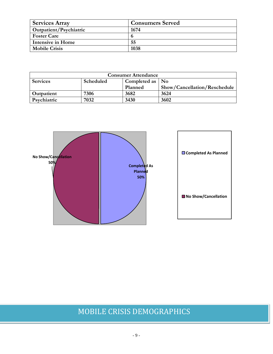| <b>Services Array</b>    | <b>Consumers Served</b> |
|--------------------------|-------------------------|
| Outpatient/Psychiatric   | 1674                    |
| <b>Foster Care</b>       |                         |
| <b>Intensive in Home</b> | 55                      |
| <b>Mobile Crisis</b>     | 1038                    |

| <b>Consumer Attendance</b>                                     |      |                              |      |
|----------------------------------------------------------------|------|------------------------------|------|
| <b>Services</b><br>Completed as $\vert$ No<br><b>Scheduled</b> |      |                              |      |
| Planned                                                        |      | Show/Cancellation/Reschedule |      |
| Outpatient                                                     | 7306 | 3682                         | 3624 |
| Psychiatric                                                    | 7032 | 3430                         | 3602 |



# MOBILE CRISIS DEMOGRAPHICS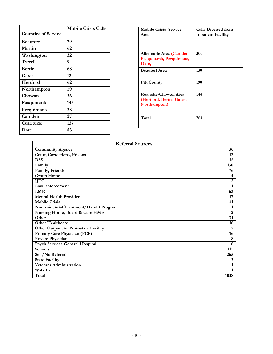|                            | <b>Mobile Crisis Calls</b> |
|----------------------------|----------------------------|
| <b>Counties of Service</b> |                            |
| <b>Beaufort</b>            | 79                         |
| Martin                     | 62                         |
| Washington                 | 32                         |
| Tyrrell                    | 9                          |
| <b>Bertie</b>              | 68                         |
| Gates                      | 12                         |
| Hertford                   | 62                         |
| Northampton                | 59                         |
| Chowan                     | 36                         |
| Pasquotank                 | 143                        |
| Perquimans                 | 28                         |
| Camden                     | 27                         |
| Currituck                  | 137                        |
| Dare                       | 83                         |

| <b>Mobile Crisis Service</b><br>Area                             | <b>Calls Diverted from</b><br><b>Inpatient Facility</b> |
|------------------------------------------------------------------|---------------------------------------------------------|
| Albemarle Area (Camden,<br>Pasquotank, Perquimans,<br>Dare,      | 300                                                     |
| <b>Beaufort Area</b>                                             | 130                                                     |
| <b>Pitt County</b>                                               | 190                                                     |
| Roanoke-Chowan Area<br>(Hertford, Bertie, Gates,<br>Northampton) | 144                                                     |
| Total                                                            | 764                                                     |

| <b>Referral Sources</b>                  |                 |
|------------------------------------------|-----------------|
| <b>Community Agency</b>                  | 36              |
| Court, Corrections, Prisons              | 12              |
| <b>DSS</b>                               | 15              |
| Family                                   | 130             |
| Family, Friends                          | 76              |
| <b>Group Home</b>                        | 4               |
| <b>JJTC</b>                              | 2               |
| Law Enforcement                          | $\mathbf{1}$    |
| <b>LME</b>                               | 63              |
| <b>Mental Health Provider</b>            | 17              |
| <b>Mobile Crisis</b>                     | 41              |
| Nonresidential Treatment/Habilit Program | 1               |
| Nursing Home, Board & Care HME           | $\overline{2}$  |
| Other                                    | $\overline{71}$ |
| <b>Other Healthcare</b>                  | 16              |
| Other Outpatient. Non-state Facility     | 7               |
| Primary Care Physician (PCP)             | 16              |
| Private Physician                        | 8               |
| <b>Psych Services-General Hospital</b>   | 6               |
| <b>Schools</b>                           | 115             |
| Self/No Referral                         | 265             |
| <b>State Facility</b>                    | 3               |
| <b>Veterans Administration</b>           | $\mathbf{1}$    |
| Walk In                                  | 1               |
| Total                                    | 1038            |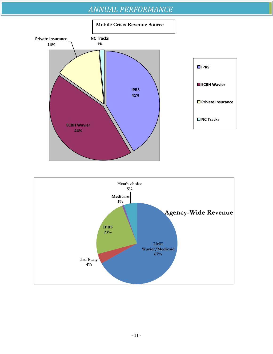# *ANNUAL PERFORMANCE*